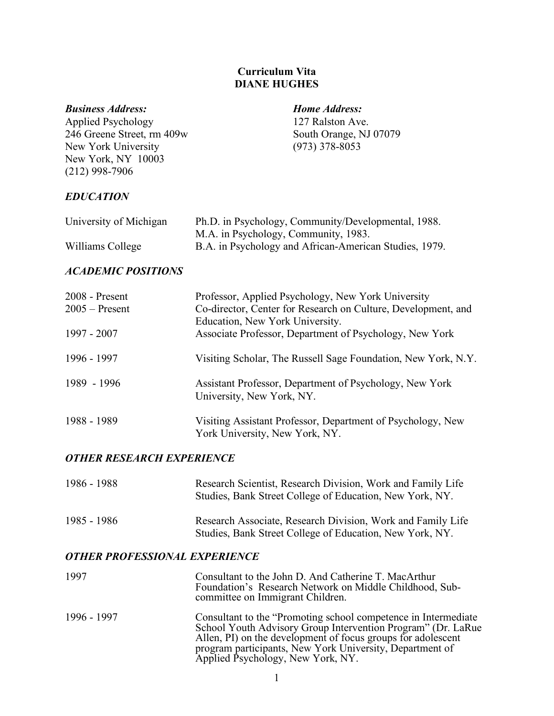## **Curriculum Vita DIANE HUGHES**

#### *Business Address: Home Address:*

Applied Psychology 127 Ralston Ave. 246 Greene Street, rm 409w South Orange, NJ 07079<br>New York University (973) 378-8053 New York University New York, NY 10003 (212) 998-7906

# *EDUCATION*

| University of Michigan | Ph.D. in Psychology, Community/Developmental, 1988.    |
|------------------------|--------------------------------------------------------|
|                        | M.A. in Psychology, Community, 1983.                   |
| Williams College       | B.A. in Psychology and African-American Studies, 1979. |

## *ACADEMIC POSITIONS*

| $2008$ - Present | Professor, Applied Psychology, New York University                                               |  |
|------------------|--------------------------------------------------------------------------------------------------|--|
| $2005 -$ Present | Co-director, Center for Research on Culture, Development, and<br>Education, New York University. |  |
| 1997 - 2007      | Associate Professor, Department of Psychology, New York                                          |  |
| 1996 - 1997      | Visiting Scholar, The Russell Sage Foundation, New York, N.Y.                                    |  |
| 1989 - 1996      | Assistant Professor, Department of Psychology, New York<br>University, New York, NY.             |  |
| 1988 - 1989      | Visiting Assistant Professor, Department of Psychology, New<br>York University, New York, NY.    |  |

## *OTHER RESEARCH EXPERIENCE*

| 1986 - 1988 | Research Scientist, Research Division, Work and Family Life<br>Studies, Bank Street College of Education, New York, NY. |
|-------------|-------------------------------------------------------------------------------------------------------------------------|
| 1985 - 1986 | Research Associate, Research Division, Work and Family Life<br>Studies, Bank Street College of Education, New York, NY. |

## *OTHER PROFESSIONAL EXPERIENCE*

| 1997        | Consultant to the John D. And Catherine T. MacArthur<br>Foundation's Research Network on Middle Childhood, Sub-<br>committee on Immigrant Children.                                                                                                                                               |
|-------------|---------------------------------------------------------------------------------------------------------------------------------------------------------------------------------------------------------------------------------------------------------------------------------------------------|
| 1996 - 1997 | Consultant to the "Promoting school competence in Intermediate"<br>School Youth Advisory Group Intervention Program" (Dr. LaRue)<br>Allen, PI) on the development of focus groups for adolescent<br>program participants, New York University, Department of<br>Applied Psychology, New York, NY. |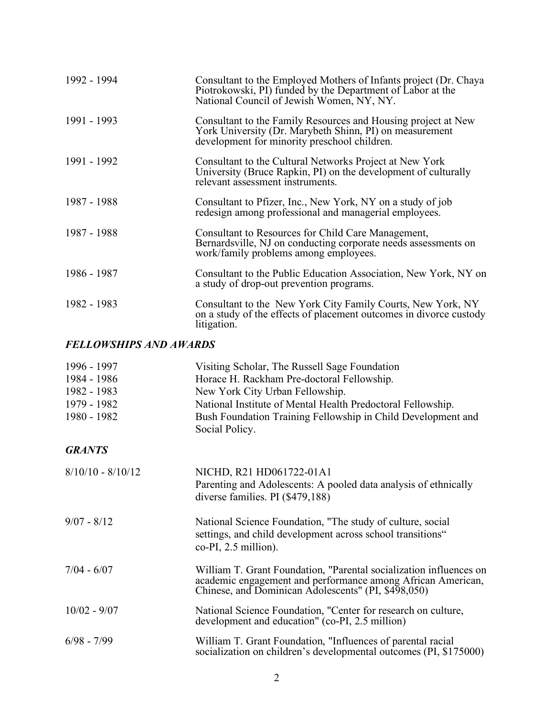| 1992 - 1994                   | Consultant to the Employed Mothers of Infants project (Dr. Chaya<br>Piotrokowski, PI) funded by the Department of Labor at the<br>National Council of Jewish Women, NY, NY. |  |
|-------------------------------|-----------------------------------------------------------------------------------------------------------------------------------------------------------------------------|--|
| 1991 - 1993                   | Consultant to the Family Resources and Housing project at New<br>York University (Dr. Marybeth Shinn, PI) on measurement<br>development for minority preschool children.    |  |
| 1991 - 1992                   | Consultant to the Cultural Networks Project at New York<br>University (Bruce Rapkin, PI) on the development of culturally<br>relevant assessment instruments.               |  |
| 1987 - 1988                   | Consultant to Pfizer, Inc., New York, NY on a study of job<br>redesign among professional and managerial employees.                                                         |  |
| 1987 - 1988                   | Consultant to Resources for Child Care Management,<br>Bernardsville, NJ on conducting corporate needs assessments on<br>work/family problems among employees.               |  |
| 1986 - 1987                   | Consultant to the Public Education Association, New York, NY on<br>a study of drop-out prevention programs.                                                                 |  |
| 1982 - 1983                   | Consultant to the New York City Family Courts, New York, NY<br>on a study of the effects of placement outcomes in divorce custody<br>litigation.                            |  |
| <b>FELLOWSHIPS AND AWARDS</b> |                                                                                                                                                                             |  |
| 1996 - 1997                   | Visiting Scholar, The Russell Sage Foundation                                                                                                                               |  |
| 1984 - 1986                   | Horace H. Rackham Pre-doctoral Fellowship.                                                                                                                                  |  |
| 1982 - 1983                   | New York City Urban Fellowship.                                                                                                                                             |  |
| 1979 - 1982                   | National Institute of Mental Health Predoctoral Fellowship.                                                                                                                 |  |
| 1980 - 1982                   | Bush Foundation Training Fellowship in Child Development and                                                                                                                |  |

## *GRANTS*

| $8/10/10 - 8/10/12$ | NICHD, R21 HD061722-01A1<br>Parenting and Adolescents: A pooled data analysis of ethnically<br>diverse families. PI (\$479,188)                                                          |
|---------------------|------------------------------------------------------------------------------------------------------------------------------------------------------------------------------------------|
| $9/07 - 8/12$       | National Science Foundation, "The study of culture, social<br>settings, and child development across school transitions"<br>$co-PI$ , 2.5 million).                                      |
| $7/04 - 6/07$       | William T. Grant Foundation, "Parental socialization influences on<br>academic engagement and performance among African American,<br>Chinese, and Dominican Adolescents" (PI, \$498,050) |
| $10/02 - 9/07$      | National Science Foundation, "Center for research on culture,<br>development and education" (co-PI, 2.5 million)                                                                         |
| $6/98 - 7/99$       | William T. Grant Foundation, "Influences of parental racial<br>socialization on children's developmental outcomes (PI, \$175000)                                                         |

Social Policy.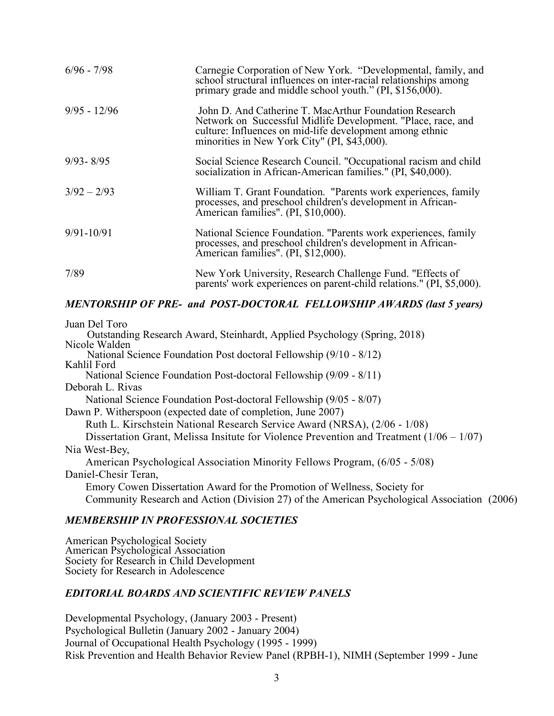| $6/96 - 7/98$  | Carnegie Corporation of New York. "Developmental, family, and<br>school structural influences on inter-racial relationships among<br>primary grade and middle school youth." (PI, \$156,000).                                      |
|----------------|------------------------------------------------------------------------------------------------------------------------------------------------------------------------------------------------------------------------------------|
| $9/95 - 12/96$ | John D. And Catherine T. MacArthur Foundation Research<br>Network on Successful Midlife Development. "Place, race, and<br>culture: Influences on mid-life development among ethnic<br>minorities in New York City" (PI, \$43,000). |
| $9/93 - 8/95$  | Social Science Research Council. "Occupational racism and child<br>socialization in African-American families." (PI, \$40,000).                                                                                                    |
| $3/92 - 2/93$  | William T. Grant Foundation. "Parents work experiences, family<br>processes, and preschool children's development in African-<br>American families". (PI, \$10,000).                                                               |
| $9/91 - 10/91$ | National Science Foundation. "Parents work experiences, family<br>processes, and preschool children's development in African-<br>American families". (PI, \$12,000).                                                               |
| 7/89           | New York University, Research Challenge Fund. "Effects of<br>parents' work experiences on parent-child relations." (PI, \$5,000).                                                                                                  |

### *MENTORSHIP OF PRE- and POST-DOCTORAL FELLOWSHIP AWARDS (last 5 years)*

Juan Del Toro

 Outstanding Research Award, Steinhardt, Applied Psychology (Spring, 2018) Nicole Walden National Science Foundation Post doctoral Fellowship (9/10 - 8/12)

Kahlil Ford National Science Foundation Post-doctoral Fellowship (9/09 - 8/11)

Deborah L. Rivas

National Science Foundation Post-doctoral Fellowship (9/05 - 8/07)

Dawn P. Witherspoon (expected date of completion, June 2007)

Ruth L. Kirschstein National Research Service Award (NRSA), (2/06 - 1/08)

Dissertation Grant, Melissa Insitute for Violence Prevention and Treatment  $(1/06 - 1/07)$ Nia West-Bey,

American Psychological Association Minority Fellows Program, (6/05 - 5/08) Daniel-Chesir Teran,

Emory Cowen Dissertation Award for the Promotion of Wellness, Society for Community Research and Action (Division 27) of the American Psychological Association (2006)

### *MEMBERSHIP IN PROFESSIONAL SOCIETIES*

American Psychological Society American Psychological Association Society for Research in Child Development Society for Research in Adolescence

## *EDITORIAL BOARDS AND SCIENTIFIC REVIEW PANELS*

Developmental Psychology, (January 2003 - Present) Psychological Bulletin (January 2002 - January 2004) Journal of Occupational Health Psychology (1995 - 1999) Risk Prevention and Health Behavior Review Panel (RPBH-1), NIMH (September 1999 - June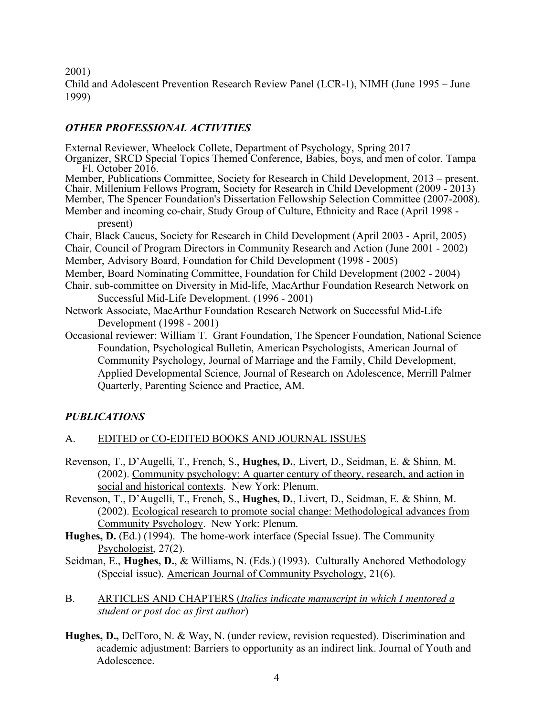2001)

Child and Adolescent Prevention Research Review Panel (LCR-1), NIMH (June 1995 – June 1999)

# *OTHER PROFESSIONAL ACTIVITIES*

External Reviewer, Wheelock Collete, Department of Psychology, Spring 2017

Organizer, SRCD Special Topics Themed Conference, Babies, boys, and men of color. Tampa Fl. October 2016.

Member, Publications Committee, Society for Research in Child Development, 2013 – present. Chair, Millenium Fellows Program, Society for Research in Child Development (2009 - 2013) Member, The Spencer Foundation's Dissertation Fellowship Selection Committee (2007-2008). Member and incoming co-chair, Study Group of Culture, Ethnicity and Race (April 1998 -

present)

Chair, Black Caucus, Society for Research in Child Development (April 2003 - April, 2005) Chair, Council of Program Directors in Community Research and Action (June 2001 - 2002) Member, Advisory Board, Foundation for Child Development (1998 - 2005)

Member, Board Nominating Committee, Foundation for Child Development (2002 - 2004)

- Chair, sub-committee on Diversity in Mid-life, MacArthur Foundation Research Network on Successful Mid-Life Development. (1996 - 2001)
- Network Associate, MacArthur Foundation Research Network on Successful Mid-Life Development (1998 - 2001)
- Occasional reviewer: William T. Grant Foundation, The Spencer Foundation, National Science Foundation, Psychological Bulletin, American Psychologists, American Journal of Community Psychology, Journal of Marriage and the Family, Child Development, Applied Developmental Science, Journal of Research on Adolescence, Merrill Palmer Quarterly, Parenting Science and Practice, AM.

# *PUBLICATIONS*

# A. EDITED or CO-EDITED BOOKS AND JOURNAL ISSUES

- Revenson, T., D'Augelli, T., French, S., **Hughes, D.**, Livert, D., Seidman, E. & Shinn, M. (2002). Community psychology: A quarter century of theory, research, and action in social and historical contexts. New York: Plenum.
- Revenson, T., D'Augelli, T., French, S., **Hughes, D.**, Livert, D., Seidman, E. & Shinn, M. (2002). Ecological research to promote social change: Methodological advances from Community Psychology. New York: Plenum.
- **Hughes, D.** (Ed.) (1994). The home-work interface (Special Issue). The Community Psychologist, 27(2).
- Seidman, E., **Hughes, D.**, & Williams, N. (Eds.) (1993). Culturally Anchored Methodology (Special issue). American Journal of Community Psychology, 21(6).
- B. ARTICLES AND CHAPTERS (*Italics indicate manuscript in which I mentored a student or post doc as first author*)
- **Hughes, D.,** DelToro, N. & Way, N. (under review, revision requested). Discrimination and academic adjustment: Barriers to opportunity as an indirect link. Journal of Youth and Adolescence.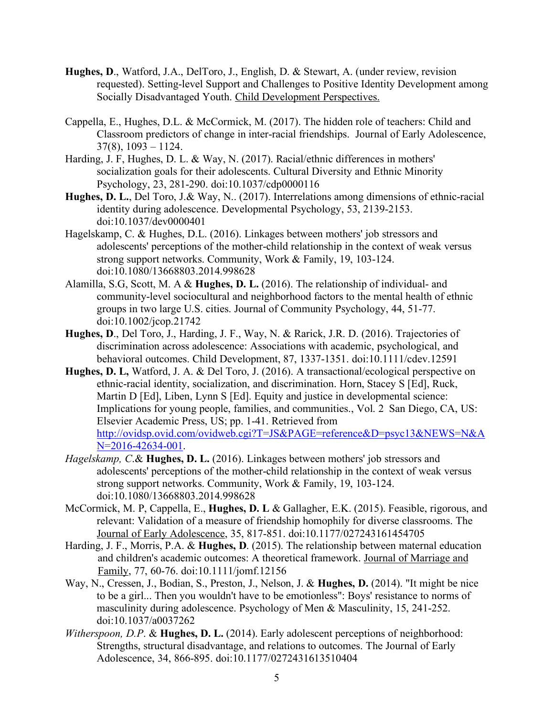- **Hughes, D**., Watford, J.A., DelToro, J., English, D. & Stewart, A. (under review, revision requested). Setting-level Support and Challenges to Positive Identity Development among Socially Disadvantaged Youth. Child Development Perspectives.
- Cappella, E., Hughes, D.L. & McCormick, M. (2017). The hidden role of teachers: Child and Classroom predictors of change in inter-racial friendships. Journal of Early Adolescence,  $37(8)$ ,  $1093 - 1124$ .
- Harding, J. F, Hughes, D. L. & Way, N. (2017). Racial/ethnic differences in mothers' socialization goals for their adolescents. Cultural Diversity and Ethnic Minority Psychology, 23, 281-290. doi:10.1037/cdp0000116
- **Hughes, D. L.**, Del Toro, J.& Way, N.. (2017). Interrelations among dimensions of ethnic-racial identity during adolescence. Developmental Psychology, 53, 2139-2153. doi:10.1037/dev0000401
- Hagelskamp, C. & Hughes, D.L. (2016). Linkages between mothers' job stressors and adolescents' perceptions of the mother-child relationship in the context of weak versus strong support networks. Community, Work & Family, 19, 103-124. doi:10.1080/13668803.2014.998628
- Alamilla, S.G, Scott, M. A & **Hughes, D. L.** (2016). The relationship of individual- and community-level sociocultural and neighborhood factors to the mental health of ethnic groups in two large U.S. cities. Journal of Community Psychology, 44, 51-77. doi:10.1002/jcop.21742
- **Hughes, D**., Del Toro, J., Harding, J. F., Way, N. & Rarick, J.R. D. (2016). Trajectories of discrimination across adolescence: Associations with academic, psychological, and behavioral outcomes. Child Development, 87, 1337-1351. doi:10.1111/cdev.12591
- **Hughes, D. L,** Watford, J. A. & Del Toro, J. (2016). A transactional/ecological perspective on ethnic-racial identity, socialization, and discrimination. Horn, Stacey S [Ed], Ruck, Martin D [Ed], Liben, Lynn S [Ed]. Equity and justice in developmental science: Implications for young people, families, and communities., Vol. 2 San Diego, CA, US: Elsevier Academic Press, US; pp. 1-41. Retrieved from http://ovidsp.ovid.com/ovidweb.cgi?T=JS&PAGE=reference&D=psyc13&NEWS=N&A N=2016-42634-001.
- *Hagelskamp, C*.& **Hughes, D. L.** (2016). Linkages between mothers' job stressors and adolescents' perceptions of the mother-child relationship in the context of weak versus strong support networks. Community, Work & Family, 19, 103-124. doi:10.1080/13668803.2014.998628
- McCormick, M. P, Cappella, E., **Hughes, D. L** & Gallagher, E.K. (2015). Feasible, rigorous, and relevant: Validation of a measure of friendship homophily for diverse classrooms. The Journal of Early Adolescence, 35, 817-851. doi:10.1177/027243161454705
- Harding, J. F., Morris, P.A. & **Hughes, D**. (2015). The relationship between maternal education and children's academic outcomes: A theoretical framework. Journal of Marriage and Family, 77, 60-76. doi:10.1111/jomf.12156
- Way, N., Cressen, J., Bodian, S., Preston, J., Nelson, J. & **Hughes, D.** (2014). "It might be nice to be a girl... Then you wouldn't have to be emotionless": Boys' resistance to norms of masculinity during adolescence. Psychology of Men & Masculinity, 15, 241-252. doi:10.1037/a0037262
- *Witherspoon, D.P*. & **Hughes, D. L.** (2014). Early adolescent perceptions of neighborhood: Strengths, structural disadvantage, and relations to outcomes. The Journal of Early Adolescence, 34, 866-895. doi:10.1177/0272431613510404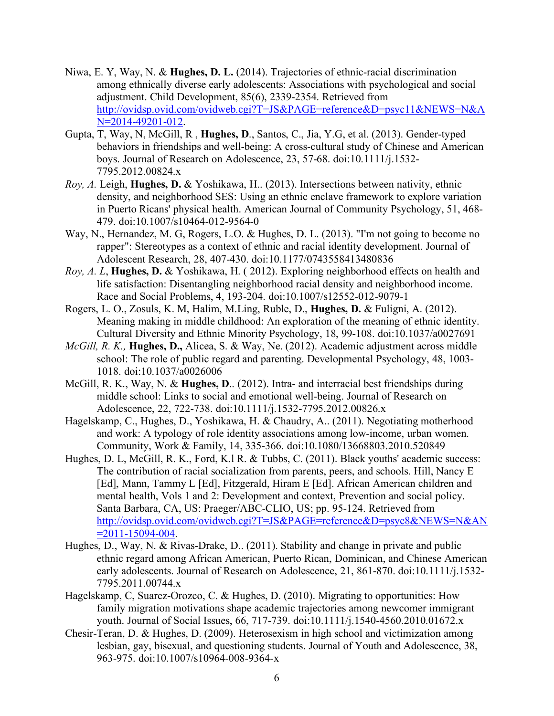- Niwa, E. Y, Way, N. & **Hughes, D. L.** (2014). Trajectories of ethnic-racial discrimination among ethnically diverse early adolescents: Associations with psychological and social adjustment. Child Development, 85(6), 2339-2354. Retrieved from http://ovidsp.ovid.com/ovidweb.cgi?T=JS&PAGE=reference&D=psyc11&NEWS=N&A N=2014-49201-012.
- Gupta, T, Way, N, McGill, R , **Hughes, D**., Santos, C., Jia, Y.G, et al. (2013). Gender-typed behaviors in friendships and well-being: A cross-cultural study of Chinese and American boys. Journal of Research on Adolescence, 23, 57-68. doi:10.1111/j.1532- 7795.2012.00824.x
- *Roy, A.* Leigh, **Hughes, D.** & Yoshikawa, H.. (2013). Intersections between nativity, ethnic density, and neighborhood SES: Using an ethnic enclave framework to explore variation in Puerto Ricans' physical health. American Journal of Community Psychology, 51, 468- 479. doi:10.1007/s10464-012-9564-0
- Way, N., Hernandez, M. G, Rogers, L.O. & Hughes, D. L. (2013). "I'm not going to become no rapper": Stereotypes as a context of ethnic and racial identity development. Journal of Adolescent Research, 28, 407-430. doi:10.1177/0743558413480836
- *Roy, A. L*, **Hughes, D.** & Yoshikawa, H. ( 2012). Exploring neighborhood effects on health and life satisfaction: Disentangling neighborhood racial density and neighborhood income. Race and Social Problems, 4, 193-204. doi:10.1007/s12552-012-9079-1
- Rogers, L. O., Zosuls, K. M, Halim, M.Ling, Ruble, D., **Hughes, D.** & Fuligni, A. (2012). Meaning making in middle childhood: An exploration of the meaning of ethnic identity. Cultural Diversity and Ethnic Minority Psychology, 18, 99-108. doi:10.1037/a0027691
- *McGill, R. K.,* **Hughes, D.,** Alicea, S. & Way, Ne. (2012). Academic adjustment across middle school: The role of public regard and parenting. Developmental Psychology, 48, 1003- 1018. doi:10.1037/a0026006
- McGill, R. K., Way, N. & **Hughes, D**.. (2012). Intra- and interracial best friendships during middle school: Links to social and emotional well-being. Journal of Research on Adolescence, 22, 722-738. doi:10.1111/j.1532-7795.2012.00826.x
- Hagelskamp, C., Hughes, D., Yoshikawa, H. & Chaudry, A.. (2011). Negotiating motherhood and work: A typology of role identity associations among low-income, urban women. Community, Work & Family, 14, 335-366. doi:10.1080/13668803.2010.520849
- Hughes, D. L, McGill, R. K., Ford, K.l R. & Tubbs, C. (2011). Black youths' academic success: The contribution of racial socialization from parents, peers, and schools. Hill, Nancy E [Ed], Mann, Tammy L [Ed], Fitzgerald, Hiram E [Ed]. African American children and mental health, Vols 1 and 2: Development and context, Prevention and social policy. Santa Barbara, CA, US: Praeger/ABC-CLIO, US; pp. 95-124. Retrieved from http://ovidsp.ovid.com/ovidweb.cgi?T=JS&PAGE=reference&D=psyc8&NEWS=N&AN  $=2011 - 15094 - 004$ .
- Hughes, D., Way, N. & Rivas-Drake, D.. (2011). Stability and change in private and public ethnic regard among African American, Puerto Rican, Dominican, and Chinese American early adolescents. Journal of Research on Adolescence, 21, 861-870. doi:10.1111/j.1532- 7795.2011.00744.x
- Hagelskamp, C, Suarez-Orozco, C. & Hughes, D. (2010). Migrating to opportunities: How family migration motivations shape academic trajectories among newcomer immigrant youth. Journal of Social Issues, 66, 717-739. doi:10.1111/j.1540-4560.2010.01672.x
- Chesir-Teran, D. & Hughes, D. (2009). Heterosexism in high school and victimization among lesbian, gay, bisexual, and questioning students. Journal of Youth and Adolescence, 38, 963-975. doi:10.1007/s10964-008-9364-x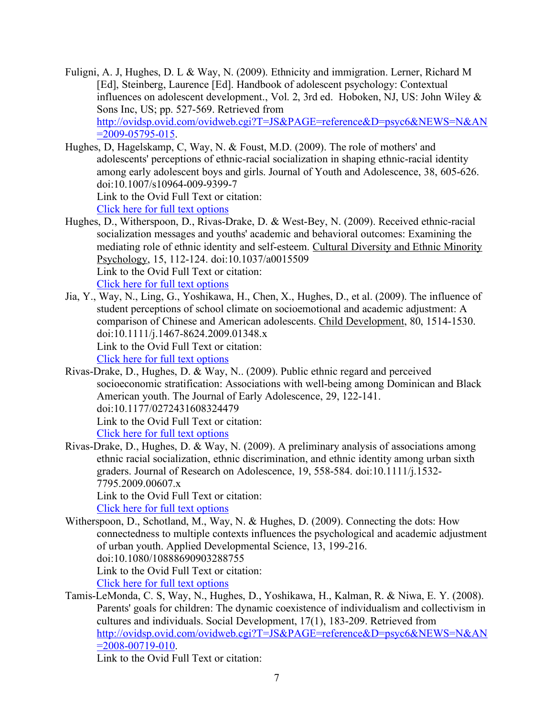Fuligni, A. J, Hughes, D. L & Way, N. (2009). Ethnicity and immigration. Lerner, Richard M [Ed], Steinberg, Laurence [Ed]. Handbook of adolescent psychology: Contextual influences on adolescent development., Vol. 2, 3rd ed. Hoboken, NJ, US: John Wiley & Sons Inc, US; pp. 527-569. Retrieved from http://ovidsp.ovid.com/ovidweb.cgi?T=JS&PAGE=reference&D=psyc6&NEWS=N&AN  $=2009 - 05795 - 015$ .

Hughes, D, Hagelskamp, C, Way, N. & Foust, M.D. (2009). The role of mothers' and adolescents' perceptions of ethnic-racial socialization in shaping ethnic-racial identity among early adolescent boys and girls. Journal of Youth and Adolescence, 38, 605-626. doi:10.1007/s10964-009-9399-7 Link to the Ovid Full Text or citation:

Click here for full text options

- Hughes, D., Witherspoon, D., Rivas-Drake, D. & West-Bey, N. (2009). Received ethnic-racial socialization messages and youths' academic and behavioral outcomes: Examining the mediating role of ethnic identity and self-esteem. Cultural Diversity and Ethnic Minority Psychology, 15, 112-124. doi:10.1037/a0015509 Link to the Ovid Full Text or citation: Click here for full text options
- Jia, Y., Way, N., Ling, G., Yoshikawa, H., Chen, X., Hughes, D., et al. (2009). The influence of student perceptions of school climate on socioemotional and academic adjustment: A comparison of Chinese and American adolescents. Child Development, 80, 1514-1530. doi:10.1111/j.1467-8624.2009.01348.x Link to the Ovid Full Text or citation:

Click here for full text options

- Rivas-Drake, D., Hughes, D. & Way, N.. (2009). Public ethnic regard and perceived socioeconomic stratification: Associations with well-being among Dominican and Black American youth. The Journal of Early Adolescence, 29, 122-141. doi:10.1177/0272431608324479 Link to the Ovid Full Text or citation: Click here for full text options
- Rivas-Drake, D., Hughes, D. & Way, N. (2009). A preliminary analysis of associations among ethnic racial socialization, ethnic discrimination, and ethnic identity among urban sixth graders. Journal of Research on Adolescence, 19, 558-584. doi:10.1111/j.1532- 7795.2009.00607.x

Link to the Ovid Full Text or citation:

Click here for full text options

Witherspoon, D., Schotland, M., Way, N. & Hughes, D. (2009). Connecting the dots: How connectedness to multiple contexts influences the psychological and academic adjustment of urban youth. Applied Developmental Science, 13, 199-216. doi:10.1080/10888690903288755 Link to the Ovid Full Text or citation:

Click here for full text options

Tamis-LeMonda, C. S, Way, N., Hughes, D., Yoshikawa, H., Kalman, R. & Niwa, E. Y. (2008). Parents' goals for children: The dynamic coexistence of individualism and collectivism in cultures and individuals. Social Development, 17(1), 183-209. Retrieved from http://ovidsp.ovid.com/ovidweb.cgi?T=JS&PAGE=reference&D=psyc6&NEWS=N&AN  $=2008-00719-010$ .

Link to the Ovid Full Text or citation: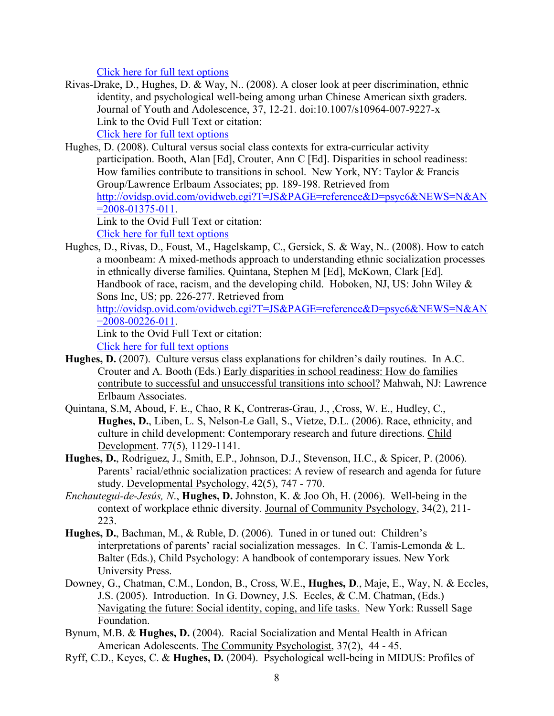Click here for full text options

Rivas-Drake, D., Hughes, D. & Way, N.. (2008). A closer look at peer discrimination, ethnic identity, and psychological well-being among urban Chinese American sixth graders. Journal of Youth and Adolescence, 37, 12-21. doi:10.1007/s10964-007-9227-x Link to the Ovid Full Text or citation:

Click here for full text options

Hughes, D. (2008). Cultural versus social class contexts for extra-curricular activity participation. Booth, Alan [Ed], Crouter, Ann C [Ed]. Disparities in school readiness: How families contribute to transitions in school. New York, NY: Taylor & Francis Group/Lawrence Erlbaum Associates; pp. 189-198. Retrieved from http://ovidsp.ovid.com/ovidweb.cgi?T=JS&PAGE=reference&D=psyc6&NEWS=N&AN  $=2008 - 01375 - 011$ .

Link to the Ovid Full Text or citation: Click here for full text options

Hughes, D., Rivas, D., Foust, M., Hagelskamp, C., Gersick, S. & Way, N.. (2008). How to catch a moonbeam: A mixed-methods approach to understanding ethnic socialization processes in ethnically diverse families. Quintana, Stephen M [Ed], McKown, Clark [Ed]. Handbook of race, racism, and the developing child. Hoboken, NJ, US: John Wiley & Sons Inc, US; pp. 226-277. Retrieved from http://ovidsp.ovid.com/ovidweb.cgi?T=JS&PAGE=reference&D=psyc6&NEWS=N&AN

 $=2008-00226-011$ .

Link to the Ovid Full Text or citation:

Click here for full text options

- **Hughes, D.** (2007). Culture versus class explanations for children's daily routines. In A.C. Crouter and A. Booth (Eds.) Early disparities in school readiness: How do families contribute to successful and unsuccessful transitions into school? Mahwah, NJ: Lawrence Erlbaum Associates.
- Quintana, S.M, Aboud, F. E., Chao, R K, Contreras-Grau, J., ,Cross, W. E., Hudley, C., **Hughes, D.**, Liben, L. S, Nelson-Le Gall, S., Vietze, D.L. (2006). Race, ethnicity, and culture in child development: Contemporary research and future directions. Child Development. 77(5), 1129-1141.
- **Hughes, D.**, Rodriguez, J., Smith, E.P., Johnson, D.J., Stevenson, H.C., & Spicer, P. (2006). Parents' racial/ethnic socialization practices: A review of research and agenda for future study. Developmental Psychology, 42(5), 747 - 770.
- *Enchautegui-de-Jesús, N*., **Hughes, D.** Johnston, K. & Joo Oh, H. (2006). Well-being in the context of workplace ethnic diversity. Journal of Community Psychology, 34(2), 211- 223.
- **Hughes, D.**, Bachman, M., & Ruble, D. (2006). Tuned in or tuned out: Children's interpretations of parents' racial socialization messages. In C. Tamis-Lemonda & L. Balter (Eds.), Child Psychology: A handbook of contemporary issues. New York University Press.
- Downey, G., Chatman, C.M., London, B., Cross, W.E., **Hughes, D**., Maje, E., Way, N. & Eccles, J.S. (2005). Introduction. In G. Downey, J.S. Eccles, & C.M. Chatman, (Eds.) Navigating the future: Social identity, coping, and life tasks. New York: Russell Sage Foundation.
- Bynum, M.B. & **Hughes, D.** (2004). Racial Socialization and Mental Health in African American Adolescents. The Community Psychologist, 37(2), 44 - 45.
- Ryff, C.D., Keyes, C. & **Hughes, D.** (2004). Psychological well-being in MIDUS: Profiles of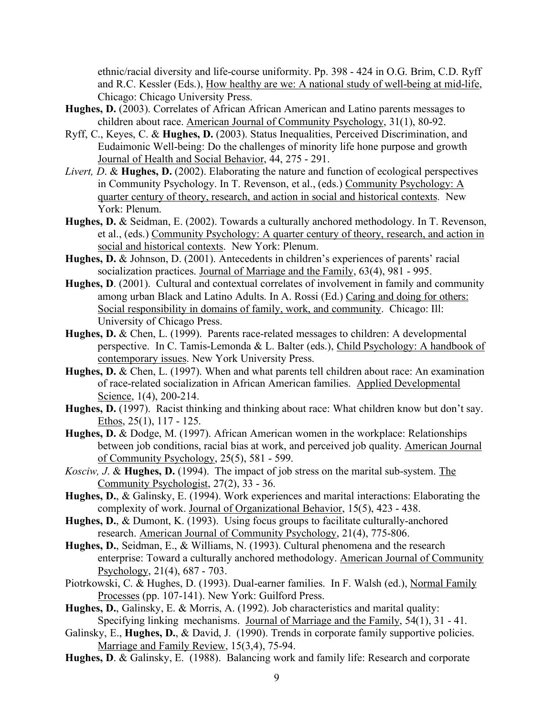ethnic/racial diversity and life-course uniformity. Pp. 398 - 424 in O.G. Brim, C.D. Ryff and R.C. Kessler (Eds.), How healthy are we: A national study of well-being at mid-life, Chicago: Chicago University Press.

- **Hughes, D.** (2003). Correlates of African African American and Latino parents messages to children about race. American Journal of Community Psychology, 31(1), 80-92.
- Ryff, C., Keyes, C. & **Hughes, D.** (2003). Status Inequalities, Perceived Discrimination, and Eudaimonic Well-being: Do the challenges of minority life hone purpose and growth Journal of Health and Social Behavior, 44, 275 - 291.
- *Livert, D*. & **Hughes, D.** (2002). Elaborating the nature and function of ecological perspectives in Community Psychology. In T. Revenson, et al., (eds.) Community Psychology: A quarter century of theory, research, and action in social and historical contexts. New York: Plenum.
- **Hughes, D.** & Seidman, E. (2002). Towards a culturally anchored methodology. In T. Revenson, et al., (eds.) Community Psychology: A quarter century of theory, research, and action in social and historical contexts. New York: Plenum.
- **Hughes, D.** & Johnson, D. (2001). Antecedents in children's experiences of parents' racial socialization practices. Journal of Marriage and the Family, 63(4), 981 - 995.
- **Hughes, D**. (2001). Cultural and contextual correlates of involvement in family and community among urban Black and Latino Adults. In A. Rossi (Ed.) Caring and doing for others: Social responsibility in domains of family, work, and community. Chicago: Ill: University of Chicago Press.
- **Hughes, D.** & Chen, L. (1999). Parents race-related messages to children: A developmental perspective. In C. Tamis-Lemonda & L. Balter (eds.), Child Psychology: A handbook of contemporary issues. New York University Press.
- **Hughes, D.** & Chen, L. (1997). When and what parents tell children about race: An examination of race-related socialization in African American families. Applied Developmental Science, 1(4), 200-214.
- **Hughes, D.** (1997). Racist thinking and thinking about race: What children know but don't say. Ethos, 25(1), 117 - 125.
- **Hughes, D.** & Dodge, M. (1997). African American women in the workplace: Relationships between job conditions, racial bias at work, and perceived job quality. American Journal of Community Psychology, 25(5), 581 - 599.
- *Kosciw, J*. & **Hughes, D.** (1994). The impact of job stress on the marital sub-system. The Community Psychologist, 27(2), 33 - 36.
- **Hughes, D.**, & Galinsky, E. (1994). Work experiences and marital interactions: Elaborating the complexity of work. Journal of Organizational Behavior, 15(5), 423 - 438.
- **Hughes, D.**, & Dumont, K. (1993). Using focus groups to facilitate culturally-anchored research. American Journal of Community Psychology, 21(4), 775-806.
- **Hughes, D.**, Seidman, E., & Williams, N. (1993). Cultural phenomena and the research enterprise: Toward a culturally anchored methodology. American Journal of Community Psychology, 21(4), 687 - 703.
- Piotrkowski, C. & Hughes, D. (1993). Dual-earner families. In F. Walsh (ed.), Normal Family Processes (pp. 107-141). New York: Guilford Press.
- **Hughes, D.**, Galinsky, E. & Morris, A. (1992). Job characteristics and marital quality: Specifying linking mechanisms. Journal of Marriage and the Family, 54(1), 31 - 41.
- Galinsky, E., **Hughes, D.**, & David, J. (1990). Trends in corporate family supportive policies. Marriage and Family Review, 15(3,4), 75-94.
- **Hughes, D**. & Galinsky, E. (1988). Balancing work and family life: Research and corporate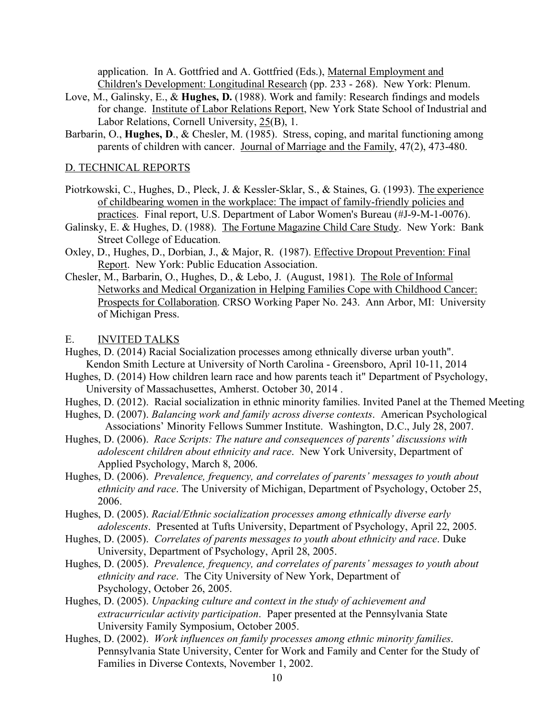application. In A. Gottfried and A. Gottfried (Eds.), Maternal Employment and Children's Development: Longitudinal Research (pp. 233 - 268). New York: Plenum.

- Love, M., Galinsky, E., & **Hughes, D.** (1988). Work and family: Research findings and models for change. Institute of Labor Relations Report, New York State School of Industrial and Labor Relations, Cornell University, 25(B), 1.
- Barbarin, O., **Hughes, D.**, & Chesler, M. (1985). Stress, coping, and marital functioning among parents of children with cancer. Journal of Marriage and the Family, 47(2), 473-480.

#### D. TECHNICAL REPORTS

- Piotrkowski, C., Hughes, D., Pleck, J. & Kessler-Sklar, S., & Staines, G. (1993). The experience of childbearing women in the workplace: The impact of family-friendly policies and practices. Final report, U.S. Department of Labor Women's Bureau (#J-9-M-1-0076).
- Galinsky, E. & Hughes, D. (1988). The Fortune Magazine Child Care Study. New York: Bank Street College of Education.
- Oxley, D., Hughes, D., Dorbian, J., & Major, R. (1987). Effective Dropout Prevention: Final Report. New York: Public Education Association.
- Chesler, M., Barbarin, O., Hughes, D., & Lebo, J. (August, 1981). The Role of Informal Networks and Medical Organization in Helping Families Cope with Childhood Cancer: Prospects for Collaboration. CRSO Working Paper No. 243. Ann Arbor, MI: University of Michigan Press.

#### E. INVITED TALKS

- Hughes, D. (2014) Racial Socialization processes among ethnically diverse urban youth". Kendon Smith Lecture at University of North Carolina - Greensboro, April 10-11, 2014
- Hughes, D. (2014) How children learn race and how parents teach it" Department of Psychology, University of Massachusettes, Amherst. October 30, 2014 .
- Hughes, D. (2012). Racial socialization in ethnic minority families. Invited Panel at the Themed Meeting
- Hughes, D. (2007). *Balancing work and family across diverse contexts*. American Psychological Associations' Minority Fellows Summer Institute. Washington, D.C., July 28, 2007.
- Hughes, D. (2006). *Race Scripts: The nature and consequences of parents' discussions with adolescent children about ethnicity and race*. New York University, Department of Applied Psychology, March 8, 2006.
- Hughes, D. (2006). *Prevalence, frequency, and correlates of parents' messages to youth about ethnicity and race*. The University of Michigan, Department of Psychology, October 25, 2006.
- Hughes, D. (2005). *Racial/Ethnic socialization processes among ethnically diverse early adolescents*. Presented at Tufts University, Department of Psychology, April 22, 2005.
- Hughes, D. (2005). *Correlates of parents messages to youth about ethnicity and race*. Duke University, Department of Psychology, April 28, 2005.
- Hughes, D. (2005). *Prevalence, frequency, and correlates of parents' messages to youth about ethnicity and race*. The City University of New York, Department of Psychology, October 26, 2005.
- Hughes, D. (2005). *Unpacking culture and context in the study of achievement and extracurricular activity participation*. Paper presented at the Pennsylvania State University Family Symposium, October 2005.
- Hughes, D. (2002). *Work influences on family processes among ethnic minority families*. Pennsylvania State University, Center for Work and Family and Center for the Study of Families in Diverse Contexts, November 1, 2002.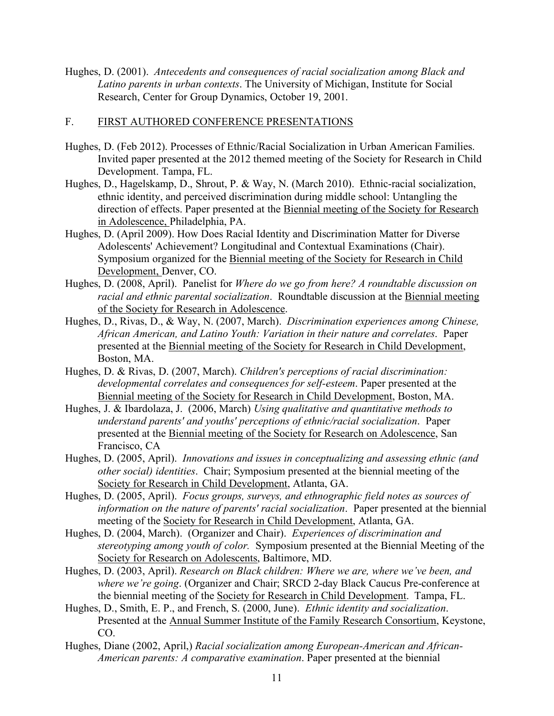Hughes, D. (2001). *Antecedents and consequences of racial socialization among Black and Latino parents in urban contexts*. The University of Michigan, Institute for Social Research, Center for Group Dynamics, October 19, 2001.

### F. FIRST AUTHORED CONFERENCE PRESENTATIONS

- Hughes, D. (Feb 2012). Processes of Ethnic/Racial Socialization in Urban American Families. Invited paper presented at the 2012 themed meeting of the Society for Research in Child Development. Tampa, FL.
- Hughes, D., Hagelskamp, D., Shrout, P. & Way, N. (March 2010). Ethnic-racial socialization, ethnic identity, and perceived discrimination during middle school: Untangling the direction of effects. Paper presented at the Biennial meeting of the Society for Research in Adolescence, Philadelphia, PA.
- Hughes, D. (April 2009). How Does Racial Identity and Discrimination Matter for Diverse Adolescents' Achievement? Longitudinal and Contextual Examinations (Chair). Symposium organized for the Biennial meeting of the Society for Research in Child Development, Denver, CO.
- Hughes, D. (2008, April). Panelist for *Where do we go from here? A roundtable discussion on racial and ethnic parental socialization*. Roundtable discussion at the Biennial meeting of the Society for Research in Adolescence.
- Hughes, D., Rivas, D., & Way, N. (2007, March). *Discrimination experiences among Chinese, African American, and Latino Youth: Variation in their nature and correlates*. Paper presented at the Biennial meeting of the Society for Research in Child Development, Boston, MA.
- Hughes, D. & Rivas, D. (2007, March). *Children's perceptions of racial discrimination: developmental correlates and consequences for self-esteem*. Paper presented at the Biennial meeting of the Society for Research in Child Development, Boston, MA.
- Hughes, J. & Ibardolaza, J. (2006, March) *Using qualitative and quantitative methods to understand parents' and youths' perceptions of ethnic/racial socialization*. Paper presented at the Biennial meeting of the Society for Research on Adolescence, San Francisco, CA
- Hughes, D. (2005, April). *Innovations and issues in conceptualizing and assessing ethnic (and other social) identities*. Chair; Symposium presented at the biennial meeting of the Society for Research in Child Development, Atlanta, GA.
- Hughes, D. (2005, April). *Focus groups, surveys, and ethnographic field notes as sources of information on the nature of parents' racial socialization*. Paper presented at the biennial meeting of the Society for Research in Child Development, Atlanta, GA.
- Hughes, D. (2004, March). (Organizer and Chair). *Experiences of discrimination and stereotyping among youth of color.* Symposium presented at the Biennial Meeting of the Society for Research on Adolescents, Baltimore, MD.
- Hughes, D. (2003, April). *Research on Black children: Where we are, where we've been, and where we're going*. (Organizer and Chair; SRCD 2-day Black Caucus Pre-conference at the biennial meeting of the Society for Research in Child Development. Tampa, FL.
- Hughes, D., Smith, E. P., and French, S. (2000, June). *Ethnic identity and socialization*. Presented at the Annual Summer Institute of the Family Research Consortium, Keystone, CO.
- Hughes, Diane (2002, April,) *Racial socialization among European-American and African-American parents: A comparative examination*. Paper presented at the biennial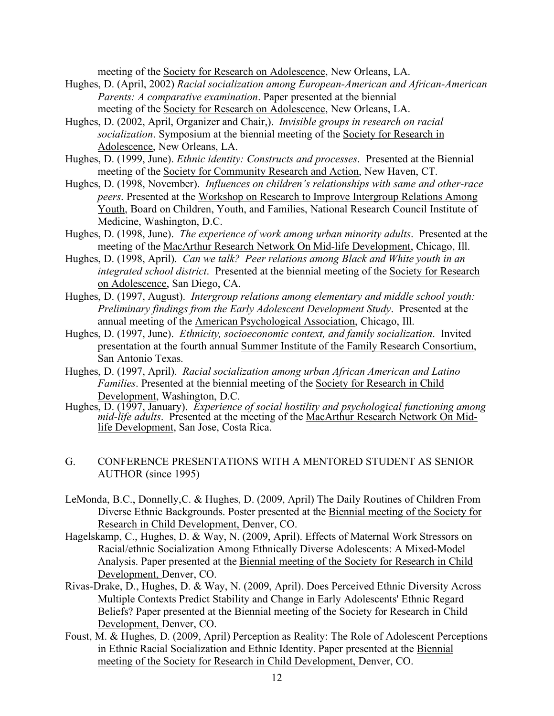meeting of the Society for Research on Adolescence, New Orleans, LA.

- Hughes, D. (April, 2002) *Racial socialization among European-American and African-American Parents: A comparative examination*. Paper presented at the biennial meeting of the Society for Research on Adolescence, New Orleans, LA.
- Hughes, D. (2002, April, Organizer and Chair,). *Invisible groups in research on racial socialization*. Symposium at the biennial meeting of the Society for Research in Adolescence, New Orleans, LA.
- Hughes, D. (1999, June). *Ethnic identity: Constructs and processes*. Presented at the Biennial meeting of the Society for Community Research and Action, New Haven, CT.
- Hughes, D. (1998, November). *Influences on children's relationships with same and other-race peers*. Presented at the Workshop on Research to Improve Intergroup Relations Among Youth, Board on Children, Youth, and Families, National Research Council Institute of Medicine, Washington, D.C.
- Hughes, D. (1998, June). *The experience of work among urban minority adults*. Presented at the meeting of the MacArthur Research Network On Mid-life Development, Chicago, Ill.
- Hughes, D. (1998, April). *Can we talk? Peer relations among Black and White youth in an integrated school district*. Presented at the biennial meeting of the Society for Research on Adolescence, San Diego, CA.
- Hughes, D. (1997, August). *Intergroup relations among elementary and middle school youth: Preliminary findings from the Early Adolescent Development Study*. Presented at the annual meeting of the American Psychological Association, Chicago, Ill.
- Hughes, D. (1997, June). *Ethnicity, socioeconomic context, and family socialization*. Invited presentation at the fourth annual Summer Institute of the Family Research Consortium, San Antonio Texas.
- Hughes, D. (1997, April). *Racial socialization among urban African American and Latino Families*. Presented at the biennial meeting of the Society for Research in Child Development, Washington, D.C.
- Hughes, D. (1997, January). *Experience of social hostility and psychological functioning among mid-life adults*. Presented at the meeting of the MacArthur Research Network On Mid- life Development, San Jose, Costa Rica.

### G. CONFERENCE PRESENTATIONS WITH A MENTORED STUDENT AS SENIOR AUTHOR (since 1995)

- LeMonda, B.C., Donnelly,C. & Hughes, D. (2009, April) The Daily Routines of Children From Diverse Ethnic Backgrounds. Poster presented at the Biennial meeting of the Society for Research in Child Development, Denver, CO.
- Hagelskamp, C., Hughes, D. & Way, N. (2009, April). Effects of Maternal Work Stressors on Racial/ethnic Socialization Among Ethnically Diverse Adolescents: A Mixed-Model Analysis. Paper presented at the Biennial meeting of the Society for Research in Child Development, Denver, CO.
- Rivas-Drake, D., Hughes, D. & Way, N. (2009, April). Does Perceived Ethnic Diversity Across Multiple Contexts Predict Stability and Change in Early Adolescents' Ethnic Regard Beliefs? Paper presented at the Biennial meeting of the Society for Research in Child Development, Denver, CO.
- Foust, M. & Hughes, D. (2009, April) Perception as Reality: The Role of Adolescent Perceptions in Ethnic Racial Socialization and Ethnic Identity. Paper presented at the Biennial meeting of the Society for Research in Child Development, Denver, CO.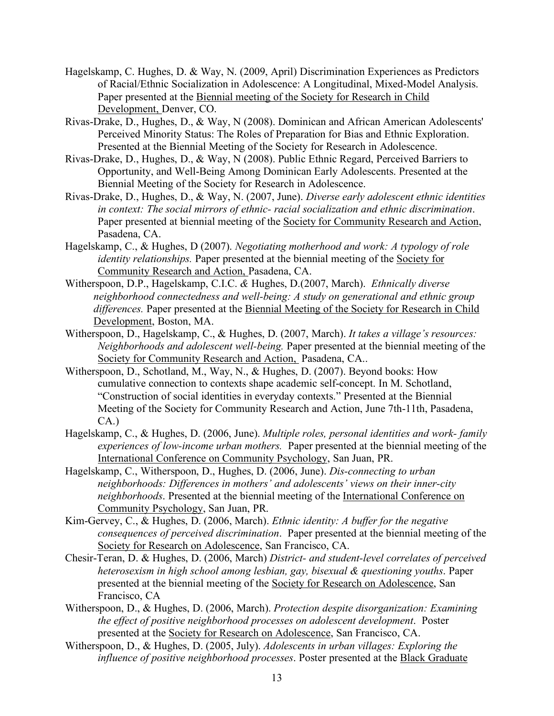- Hagelskamp, C. Hughes, D. & Way, N. (2009, April) Discrimination Experiences as Predictors of Racial/Ethnic Socialization in Adolescence: A Longitudinal, Mixed-Model Analysis. Paper presented at the Biennial meeting of the Society for Research in Child Development, Denver, CO.
- Rivas-Drake, D., Hughes, D., & Way, N (2008). Dominican and African American Adolescents' Perceived Minority Status: The Roles of Preparation for Bias and Ethnic Exploration. Presented at the Biennial Meeting of the Society for Research in Adolescence.
- Rivas-Drake, D., Hughes, D., & Way, N (2008). Public Ethnic Regard, Perceived Barriers to Opportunity, and Well-Being Among Dominican Early Adolescents. Presented at the Biennial Meeting of the Society for Research in Adolescence.
- Rivas-Drake, D., Hughes, D., & Way, N. (2007, June). *Diverse early adolescent ethnic identities in context: The social mirrors of ethnic- racial socialization and ethnic discrimination*. Paper presented at biennial meeting of the Society for Community Research and Action, Pasadena, CA.
- Hagelskamp, C., & Hughes, D (2007). *Negotiating motherhood and work: A typology of role identity relationships.* Paper presented at the biennial meeting of the Society for Community Research and Action, Pasadena, CA.
- Witherspoon, D.P., Hagelskamp, C.I.C. *&* Hughes, D.(2007, March). *Ethnically diverse neighborhood connectedness and well-being: A study on generational and ethnic group differences.* Paper presented at the Biennial Meeting of the Society for Research in Child Development, Boston, MA.
- Witherspoon, D., Hagelskamp, C., & Hughes, D. (2007, March). *It takes a village's resources: Neighborhoods and adolescent well-being.* Paper presented at the biennial meeting of the Society for Community Research and Action, Pasadena, CA..
- Witherspoon, D., Schotland, M., Way, N., & Hughes, D. (2007). Beyond books: How cumulative connection to contexts shape academic self-concept. In M. Schotland, "Construction of social identities in everyday contexts." Presented at the Biennial Meeting of the Society for Community Research and Action, June 7th-11th, Pasadena, CA.)
- Hagelskamp, C., & Hughes, D. (2006, June). *Multiple roles, personal identities and work- family experiences of low-income urban mothers.* Paper presented at the biennial meeting of the International Conference on Community Psychology, San Juan, PR.
- Hagelskamp, C., Witherspoon, D., Hughes, D. (2006, June). *Dis-connecting to urban neighborhoods: Differences in mothers' and adolescents' views on their inner-city neighborhoods*. Presented at the biennial meeting of the International Conference on Community Psychology, San Juan, PR.
- Kim-Gervey, C., & Hughes, D. (2006, March). *Ethnic identity: A buffer for the negative consequences of perceived discrimination*. Paper presented at the biennial meeting of the Society for Research on Adolescence, San Francisco, CA.
- Chesir-Teran, D. & Hughes, D. (2006, March) *District- and student-level correlates of perceived heterosexism in high school among lesbian, gay, bisexual & questioning youths*. Paper presented at the biennial meeting of the Society for Research on Adolescence, San Francisco, CA
- Witherspoon, D., & Hughes, D. (2006, March). *Protection despite disorganization: Examining the effect of positive neighborhood processes on adolescent development*. Poster presented at the Society for Research on Adolescence, San Francisco, CA.
- Witherspoon, D., & Hughes, D. (2005, July). *Adolescents in urban villages: Exploring the influence of positive neighborhood processes*. Poster presented at the Black Graduate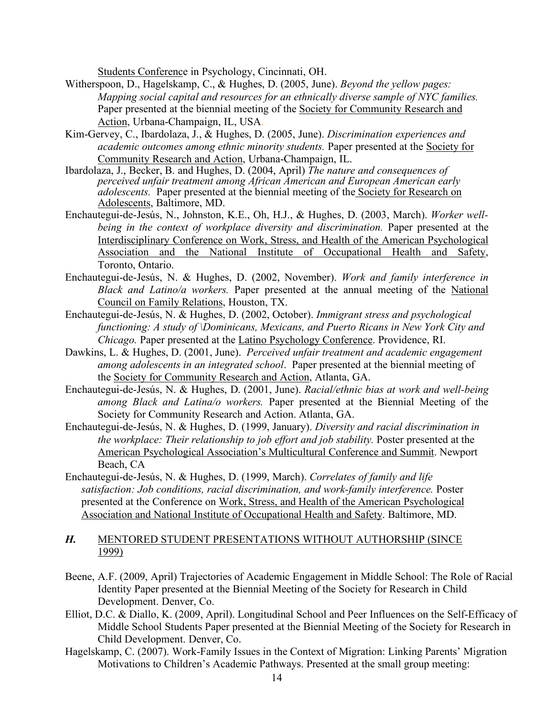Students Conference in Psychology, Cincinnati, OH.

- Witherspoon, D., Hagelskamp, C., & Hughes, D. (2005, June). *Beyond the yellow pages: Mapping social capital and resources for an ethnically diverse sample of NYC families.* Paper presented at the biennial meeting of the Society for Community Research and Action, Urbana-Champaign, IL, USA.
- Kim-Gervey, C., Ibardolaza, J., & Hughes, D. (2005, June). *Discrimination experiences and academic outcomes among ethnic minority students.* Paper presented at the Society for Community Research and Action, Urbana-Champaign, IL.
- Ibardolaza, J., Becker, B. and Hughes, D. (2004, April) *The nature and consequences of perceived unfair treatment among African American and European American early adolescents.* Paper presented at the biennial meeting of the Society for Research on Adolescents, Baltimore, MD.
- Enchautegui-de-Jesús, N., Johnston, K.E., Oh, H.J., & Hughes, D. (2003, March). *Worker well*being in the context of workplace diversity and discrimination. Paper presented at the Interdisciplinary Conference on Work, Stress, and Health of the American Psychological Association and the National Institute of Occupational Health and Safety, Toronto, Ontario.
- Enchautegui-de-Jesús, N. & Hughes, D. (2002, November). *Work and family interference in Black and Latino/a workers.* Paper presented at the annual meeting of the National Council on Family Relations, Houston, TX.
- Enchautegui-de-Jesús, N. & Hughes, D. (2002, October). *Immigrant stress and psychological functioning: A study of \Dominicans, Mexicans, and Puerto Ricans in New York City and Chicago.* Paper presented at the Latino Psychology Conference. Providence, RI.
- Dawkins, L. & Hughes, D. (2001, June). *Perceived unfair treatment and academic engagement among adolescents in an integrated school*. Paper presented at the biennial meeting of the Society for Community Research and Action, Atlanta, GA.
- Enchautegui-de-Jesús, N. & Hughes, D. (2001, June). *Racial/ethnic bias at work and well-being among Black and Latina/o workers.* Paper presented at the Biennial Meeting of the Society for Community Research and Action. Atlanta, GA.
- Enchautegui-de-Jesús, N. & Hughes, D. (1999, January). *Diversity and racial discrimination in the workplace: Their relationship to job effort and job stability.* Poster presented at the American Psychological Association's Multicultural Conference and Summit. Newport Beach, CA
- Enchautegui-de-Jesús, N. & Hughes, D. (1999, March). *Correlates of family and life satisfaction: Job conditions, racial discrimination, and work-family interference.* Poster presented at the Conference on Work, Stress, and Health of the American Psychological Association and National Institute of Occupational Health and Safety. Baltimore, MD.

### *H.* MENTORED STUDENT PRESENTATIONS WITHOUT AUTHORSHIP (SINCE 1999)

- Beene, A.F. (2009, April) Trajectories of Academic Engagement in Middle School: The Role of Racial Identity Paper presented at the Biennial Meeting of the Society for Research in Child Development. Denver, Co.
- Elliot, D.C. & Diallo, K. (2009, April). Longitudinal School and Peer Influences on the Self-Efficacy of Middle School Students Paper presented at the Biennial Meeting of the Society for Research in Child Development. Denver, Co.
- Hagelskamp, C. (2007). Work-Family Issues in the Context of Migration: Linking Parents' Migration Motivations to Children's Academic Pathways. Presented at the small group meeting: